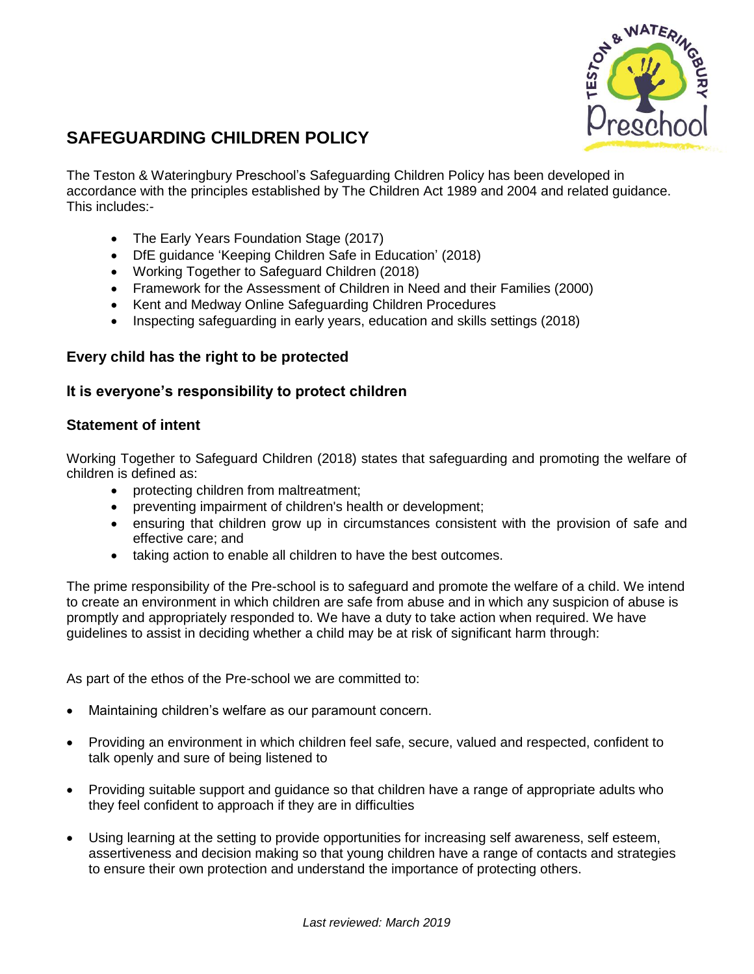

# **SAFEGUARDING CHILDREN POLICY**

The Teston & Wateringbury Preschool's Safeguarding Children Policy has been developed in accordance with the principles established by The Children Act 1989 and 2004 and related guidance. This includes:-

- The Early Years Foundation Stage (2017)
- DfE guidance 'Keeping Children Safe in Education' (2018)
- Working Together to Safeguard Children (2018)
- Framework for the Assessment of Children in Need and their Families (2000)
- Kent and Medway Online Safeguarding Children Procedures
- Inspecting safeguarding in early years, education and skills settings (2018)

# **Every child has the right to be protected**

# **It is everyone's responsibility to protect children**

# **Statement of intent**

Working Together to Safeguard Children (2018) states that safeguarding and promoting the welfare of children is defined as:

- protecting children from maltreatment;
- preventing impairment of children's health or development;
- ensuring that children grow up in circumstances consistent with the provision of safe and effective care; and
- taking action to enable all children to have the best outcomes.

The prime responsibility of the Pre-school is to safeguard and promote the welfare of a child. We intend to create an environment in which children are safe from abuse and in which any suspicion of abuse is promptly and appropriately responded to. We have a duty to take action when required. We have guidelines to assist in deciding whether a child may be at risk of significant harm through:

As part of the ethos of the Pre-school we are committed to:

- Maintaining children's welfare as our paramount concern.
- Providing an environment in which children feel safe, secure, valued and respected, confident to talk openly and sure of being listened to
- Providing suitable support and guidance so that children have a range of appropriate adults who they feel confident to approach if they are in difficulties
- Using learning at the setting to provide opportunities for increasing self awareness, self esteem, assertiveness and decision making so that young children have a range of contacts and strategies to ensure their own protection and understand the importance of protecting others.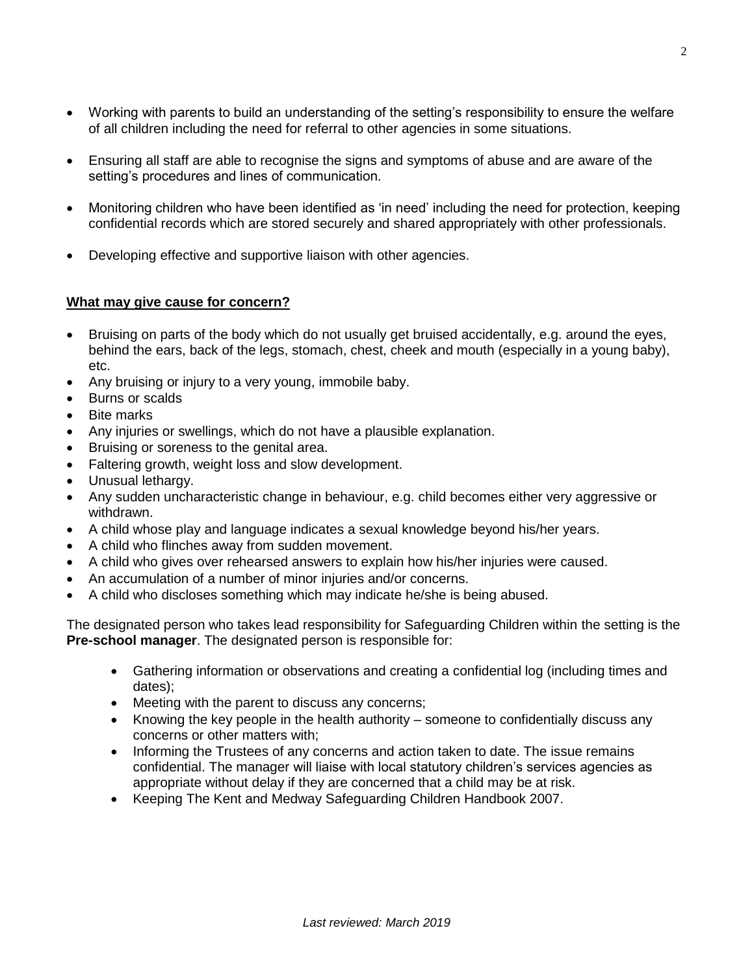- Working with parents to build an understanding of the setting's responsibility to ensure the welfare of all children including the need for referral to other agencies in some situations.
- Ensuring all staff are able to recognise the signs and symptoms of abuse and are aware of the setting's procedures and lines of communication.
- Monitoring children who have been identified as 'in need' including the need for protection, keeping confidential records which are stored securely and shared appropriately with other professionals.
- Developing effective and supportive liaison with other agencies.

## **What may give cause for concern?**

- Bruising on parts of the body which do not usually get bruised accidentally, e.g. around the eyes, behind the ears, back of the legs, stomach, chest, cheek and mouth (especially in a young baby), etc.
- Any bruising or injury to a very young, immobile baby.
- Burns or scalds
- Bite marks
- Any injuries or swellings, which do not have a plausible explanation.
- Bruising or soreness to the genital area.
- Faltering growth, weight loss and slow development.
- Unusual lethargy.
- Any sudden uncharacteristic change in behaviour, e.g. child becomes either very aggressive or withdrawn.
- A child whose play and language indicates a sexual knowledge beyond his/her years.
- A child who flinches away from sudden movement.
- A child who gives over rehearsed answers to explain how his/her injuries were caused.
- An accumulation of a number of minor injuries and/or concerns.
- A child who discloses something which may indicate he/she is being abused.

The designated person who takes lead responsibility for Safeguarding Children within the setting is the **Pre-school manager**. The designated person is responsible for:

- Gathering information or observations and creating a confidential log (including times and dates);
- Meeting with the parent to discuss any concerns;
- Knowing the key people in the health authority someone to confidentially discuss any concerns or other matters with;
- Informing the Trustees of any concerns and action taken to date. The issue remains confidential. The manager will liaise with local statutory children's services agencies as appropriate without delay if they are concerned that a child may be at risk.
- Keeping The Kent and Medway Safeguarding Children Handbook 2007.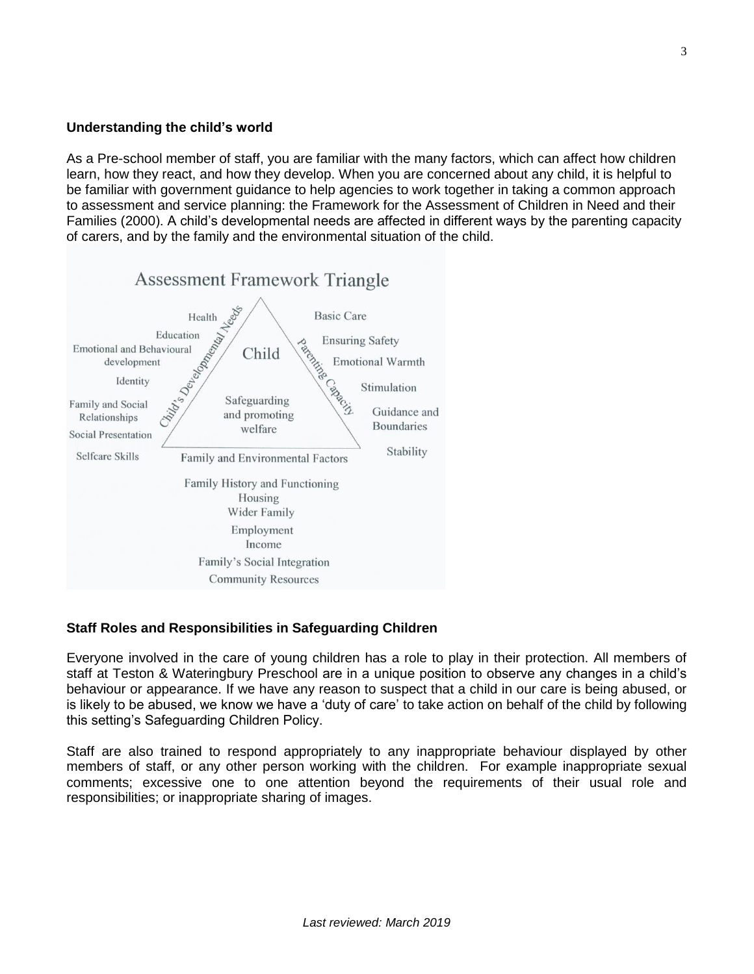## **Understanding the child's world**

As a Pre-school member of staff, you are familiar with the many factors, which can affect how children learn, how they react, and how they develop. When you are concerned about any child, it is helpful to be familiar with government guidance to help agencies to work together in taking a common approach to assessment and service planning: the Framework for the Assessment of Children in Need and their Families (2000). A child's developmental needs are affected in different ways by the parenting capacity of carers, and by the family and the environmental situation of the child.



# **Staff Roles and Responsibilities in Safeguarding Children**

Everyone involved in the care of young children has a role to play in their protection. All members of staff at Teston & Wateringbury Preschool are in a unique position to observe any changes in a child's behaviour or appearance. If we have any reason to suspect that a child in our care is being abused, or is likely to be abused, we know we have a 'duty of care' to take action on behalf of the child by following this setting's Safeguarding Children Policy.

Staff are also trained to respond appropriately to any inappropriate behaviour displayed by other members of staff, or any other person working with the children. For example inappropriate sexual comments; excessive one to one attention beyond the requirements of their usual role and responsibilities; or inappropriate sharing of images.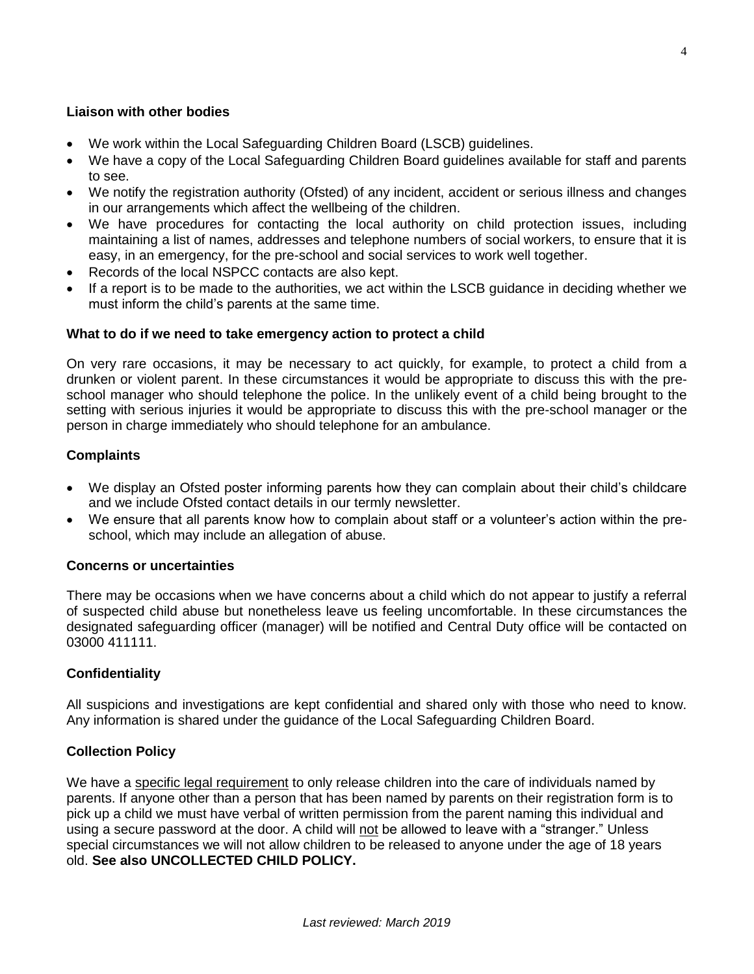#### **Liaison with other bodies**

- We work within the Local Safeguarding Children Board (LSCB) guidelines.
- We have a copy of the Local Safeguarding Children Board guidelines available for staff and parents to see.
- We notify the registration authority (Ofsted) of any incident, accident or serious illness and changes in our arrangements which affect the wellbeing of the children.
- We have procedures for contacting the local authority on child protection issues, including maintaining a list of names, addresses and telephone numbers of social workers, to ensure that it is easy, in an emergency, for the pre-school and social services to work well together.
- Records of the local NSPCC contacts are also kept.
- If a report is to be made to the authorities, we act within the LSCB guidance in deciding whether we must inform the child's parents at the same time.

#### **What to do if we need to take emergency action to protect a child**

On very rare occasions, it may be necessary to act quickly, for example, to protect a child from a drunken or violent parent. In these circumstances it would be appropriate to discuss this with the preschool manager who should telephone the police. In the unlikely event of a child being brought to the setting with serious injuries it would be appropriate to discuss this with the pre-school manager or the person in charge immediately who should telephone for an ambulance.

#### **Complaints**

- We display an Ofsted poster informing parents how they can complain about their child's childcare and we include Ofsted contact details in our termly newsletter.
- We ensure that all parents know how to complain about staff or a volunteer's action within the preschool, which may include an allegation of abuse.

#### **Concerns or uncertainties**

There may be occasions when we have concerns about a child which do not appear to justify a referral of suspected child abuse but nonetheless leave us feeling uncomfortable. In these circumstances the designated safeguarding officer (manager) will be notified and Central Duty office will be contacted on 03000 411111.

## **Confidentiality**

All suspicions and investigations are kept confidential and shared only with those who need to know. Any information is shared under the guidance of the Local Safeguarding Children Board.

## **Collection Policy**

We have a specific legal requirement to only release children into the care of individuals named by parents. If anyone other than a person that has been named by parents on their registration form is to pick up a child we must have verbal of written permission from the parent naming this individual and using a secure password at the door. A child will not be allowed to leave with a "stranger." Unless special circumstances we will not allow children to be released to anyone under the age of 18 years old. **See also UNCOLLECTED CHILD POLICY.**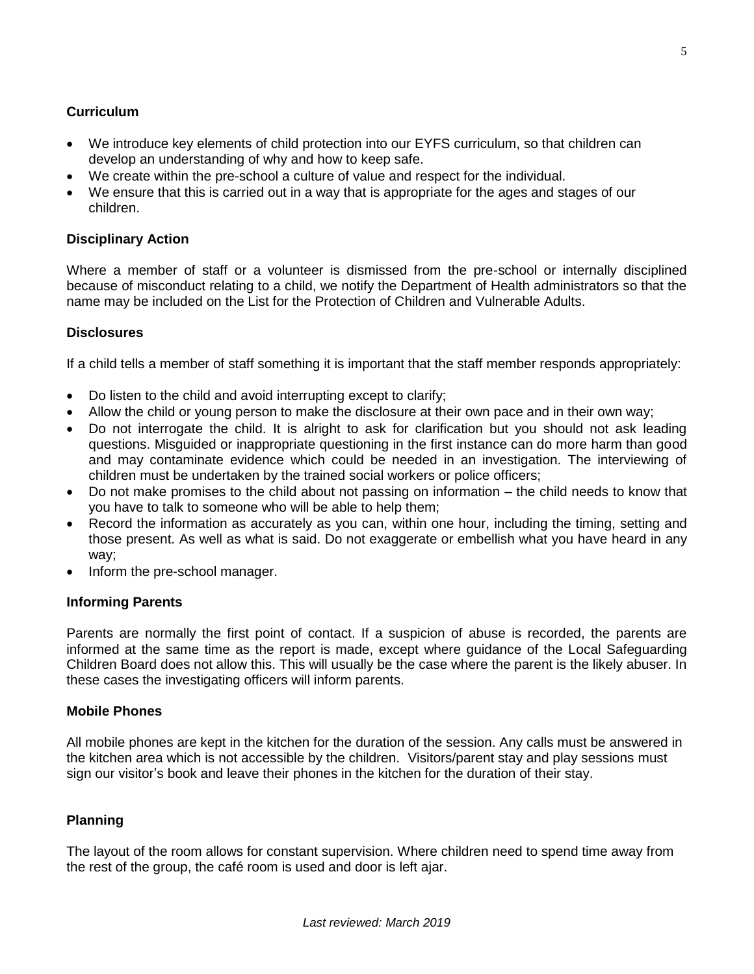## **Curriculum**

- We introduce key elements of child protection into our EYFS curriculum, so that children can develop an understanding of why and how to keep safe.
- We create within the pre-school a culture of value and respect for the individual.
- We ensure that this is carried out in a way that is appropriate for the ages and stages of our children.

#### **Disciplinary Action**

Where a member of staff or a volunteer is dismissed from the pre-school or internally disciplined because of misconduct relating to a child, we notify the Department of Health administrators so that the name may be included on the List for the Protection of Children and Vulnerable Adults.

#### **Disclosures**

If a child tells a member of staff something it is important that the staff member responds appropriately:

- Do listen to the child and avoid interrupting except to clarify;
- Allow the child or young person to make the disclosure at their own pace and in their own way;
- Do not interrogate the child. It is alright to ask for clarification but you should not ask leading questions. Misguided or inappropriate questioning in the first instance can do more harm than good and may contaminate evidence which could be needed in an investigation. The interviewing of children must be undertaken by the trained social workers or police officers;
- Do not make promises to the child about not passing on information the child needs to know that you have to talk to someone who will be able to help them;
- Record the information as accurately as you can, within one hour, including the timing, setting and those present. As well as what is said. Do not exaggerate or embellish what you have heard in any way;
- Inform the pre-school manager.

#### **Informing Parents**

Parents are normally the first point of contact. If a suspicion of abuse is recorded, the parents are informed at the same time as the report is made, except where guidance of the Local Safeguarding Children Board does not allow this. This will usually be the case where the parent is the likely abuser. In these cases the investigating officers will inform parents.

#### **Mobile Phones**

All mobile phones are kept in the kitchen for the duration of the session. Any calls must be answered in the kitchen area which is not accessible by the children. Visitors/parent stay and play sessions must sign our visitor's book and leave their phones in the kitchen for the duration of their stay.

#### **Planning**

The layout of the room allows for constant supervision. Where children need to spend time away from the rest of the group, the café room is used and door is left ajar.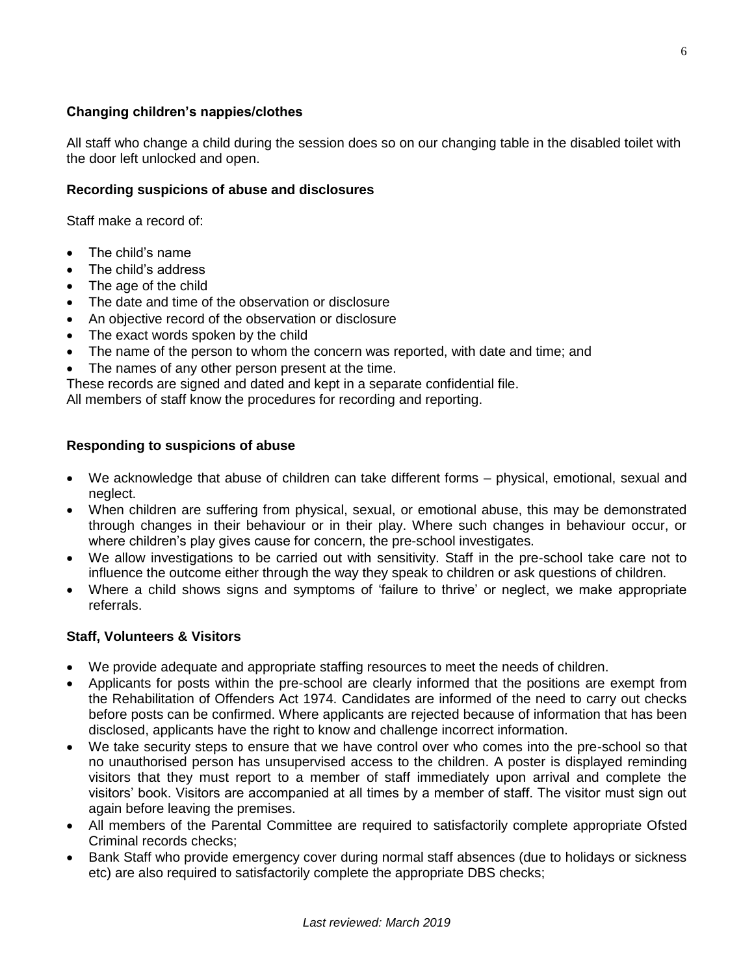# **Changing children's nappies/clothes**

All staff who change a child during the session does so on our changing table in the disabled toilet with the door left unlocked and open.

## **Recording suspicions of abuse and disclosures**

Staff make a record of:

- The child's name
- The child's address
- The age of the child
- The date and time of the observation or disclosure
- An objective record of the observation or disclosure
- The exact words spoken by the child
- The name of the person to whom the concern was reported, with date and time; and
- The names of any other person present at the time.

These records are signed and dated and kept in a separate confidential file.

All members of staff know the procedures for recording and reporting.

#### **Responding to suspicions of abuse**

- We acknowledge that abuse of children can take different forms physical, emotional, sexual and neglect.
- When children are suffering from physical, sexual, or emotional abuse, this may be demonstrated through changes in their behaviour or in their play. Where such changes in behaviour occur, or where children's play gives cause for concern, the pre-school investigates.
- We allow investigations to be carried out with sensitivity. Staff in the pre-school take care not to influence the outcome either through the way they speak to children or ask questions of children.
- Where a child shows signs and symptoms of 'failure to thrive' or neglect, we make appropriate referrals.

#### **Staff, Volunteers & Visitors**

- We provide adequate and appropriate staffing resources to meet the needs of children.
- Applicants for posts within the pre-school are clearly informed that the positions are exempt from the Rehabilitation of Offenders Act 1974. Candidates are informed of the need to carry out checks before posts can be confirmed. Where applicants are rejected because of information that has been disclosed, applicants have the right to know and challenge incorrect information.
- We take security steps to ensure that we have control over who comes into the pre-school so that no unauthorised person has unsupervised access to the children. A poster is displayed reminding visitors that they must report to a member of staff immediately upon arrival and complete the visitors' book. Visitors are accompanied at all times by a member of staff. The visitor must sign out again before leaving the premises.
- All members of the Parental Committee are required to satisfactorily complete appropriate Ofsted Criminal records checks;
- Bank Staff who provide emergency cover during normal staff absences (due to holidays or sickness etc) are also required to satisfactorily complete the appropriate DBS checks;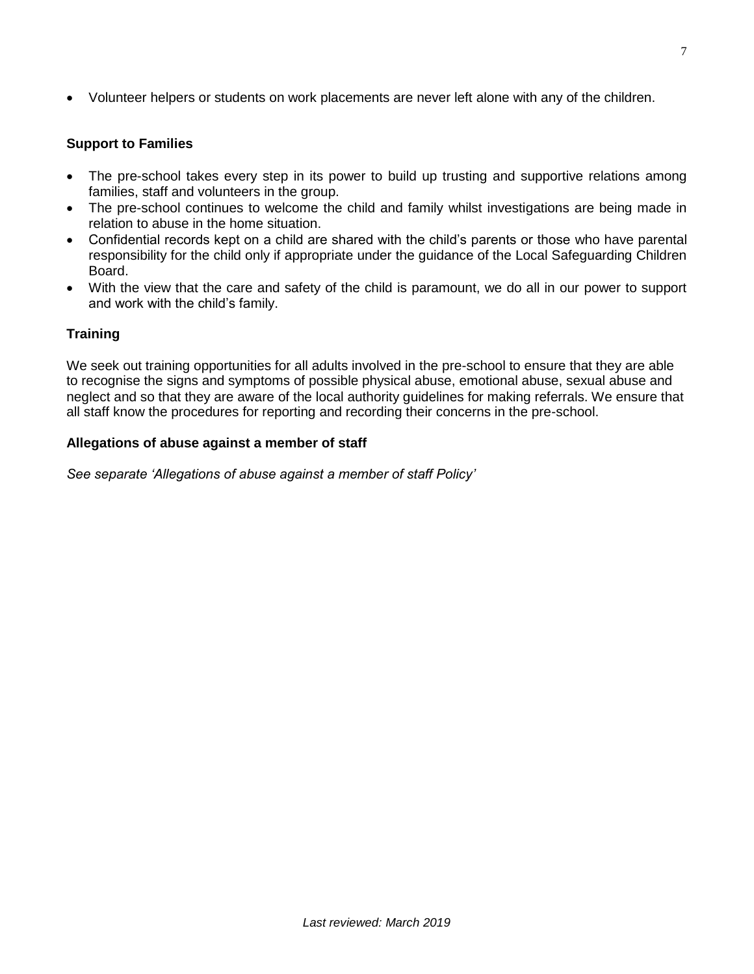Volunteer helpers or students on work placements are never left alone with any of the children.

## **Support to Families**

- The pre-school takes every step in its power to build up trusting and supportive relations among families, staff and volunteers in the group.
- The pre-school continues to welcome the child and family whilst investigations are being made in relation to abuse in the home situation.
- Confidential records kept on a child are shared with the child's parents or those who have parental responsibility for the child only if appropriate under the guidance of the Local Safeguarding Children Board.
- With the view that the care and safety of the child is paramount, we do all in our power to support and work with the child's family.

#### **Training**

We seek out training opportunities for all adults involved in the pre-school to ensure that they are able to recognise the signs and symptoms of possible physical abuse, emotional abuse, sexual abuse and neglect and so that they are aware of the local authority guidelines for making referrals. We ensure that all staff know the procedures for reporting and recording their concerns in the pre-school.

#### **Allegations of abuse against a member of staff**

*See separate 'Allegations of abuse against a member of staff Policy'*